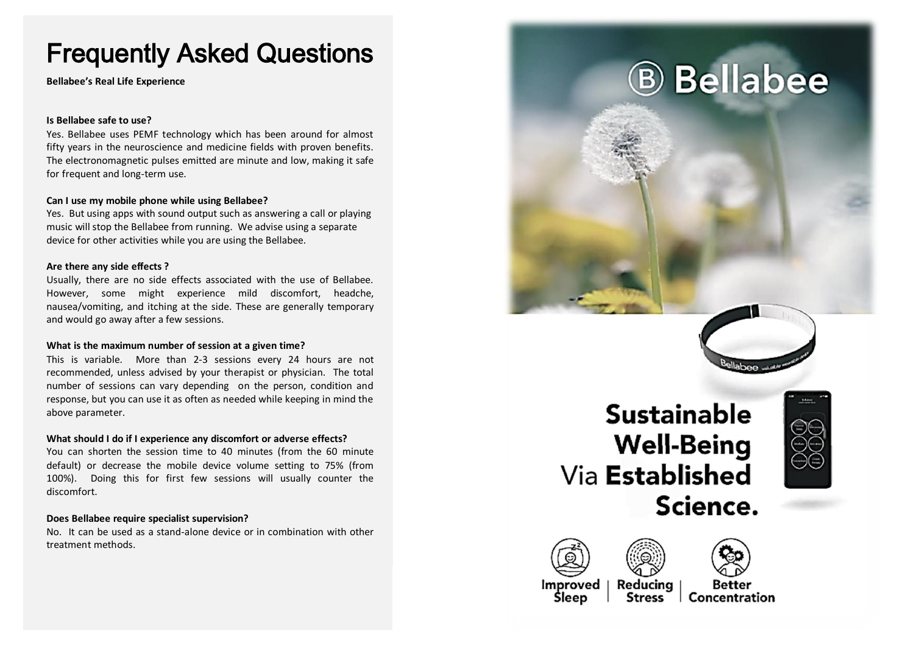# Frequently Asked Questions

**Bellabee's Real Life Experience**

## **Is Bellabee safe to use?**

Yes. Bellabee uses PEMF technology which has been around for almost fifty years in the neuroscience and medicine fields with proven benefits. The electronomagnetic pulses emitted are minute and low, making it safe for frequent and long-term use.

## **Can I use my mobile phone while using Bellabee?**

Yes. But using apps with sound output such as answering a call or playing music will stop the Bellabee from running. We advise using a separate device for other activities while you are using the Bellabee.

## **Are there any side effects ?**

Usually, there are no side effects associated with the use of Bellabee. However, some might experience mild discomfort, headche, nausea/vomiting, and itching at the side. These are generally temporary and would go away after a few sessions.

#### **What is the maximum number of session at a given time?**

This is variable. More than 2-3 sessions every 24 hours are not recommended, unless advised by your therapist or physician. The total number of sessions can vary depending on the person, condition and response, but you can use it as often as needed while keeping in mind the above parameter.

#### **What should I do if I experience any discomfort or adverse effects?**

You can shorten the session time to 40 minutes (from the 60 minute default) or decrease the mobile device volume setting to 75% (from 100%). Doing this for first few sessions will usually counter the discomfort.

## **Does Bellabee require specialist supervision?**

No. It can be used as a stand-alone device or in combination with other treatment methods.







**Improved** Sleep

Concentration

llabee

**B** Bellabee